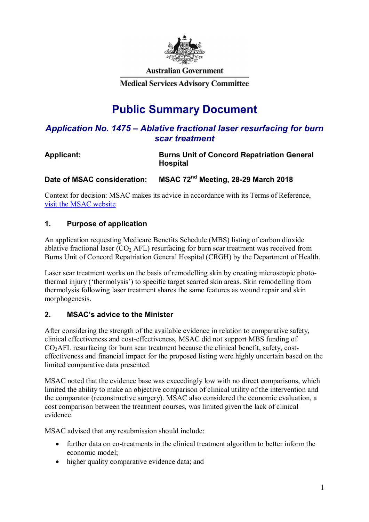

**Australian Government** 

**Medical Services Advisory Committee** 

# **Public Summary Document**

# *Application No. 1475 – Ablative fractional laser resurfacing for burn scar treatment*

# **Applicant: Burns Unit of Concord Repatriation General Hospital**

**Date of MSAC consideration: MSAC 72nd Meeting, 28-29 March 2018** 

Context for decision: MSAC makes its advice in accordance with its Terms of Reference, visit the MSAC website

# **1. Purpose of application**

An application requesting Medicare Benefits Schedule (MBS) listing of carbon dioxide ablative fractional laser  $(CO<sub>2</sub> AFL)$  resurfacing for burn scar treatment was received from Burns Unit of Concord Repatriation General Hospital (CRGH) by the Department of Health.

Laser scar treatment works on the basis of remodelling skin by creating microscopic photothermal injury ('thermolysis') to specific target scarred skin areas. Skin remodelling from thermolysis following laser treatment shares the same features as wound repair and skin morphogenesis.

# **2. MSAC's advice to the Minister**

After considering the strength of the available evidence in relation to comparative safety, clinical effectiveness and cost-effectiveness, MSAC did not support MBS funding of  $CO<sub>2</sub>AFL$  resurfacing for burn scar treatment because the clinical benefit, safety, costeffectiveness and financial impact for the proposed listing were highly uncertain based on the limited comparative data presented.

MSAC noted that the evidence base was exceedingly low with no direct comparisons, which limited the ability to make an objective comparison of clinical utility of the intervention and the comparator (reconstructive surgery). MSAC also considered the economic evaluation, a cost comparison between the treatment courses, was limited given the lack of clinical evidence.

MSAC advised that any resubmission should include:

- further data on co-treatments in the clinical treatment algorithm to better inform the economic model;
- higher quality comparative evidence data; and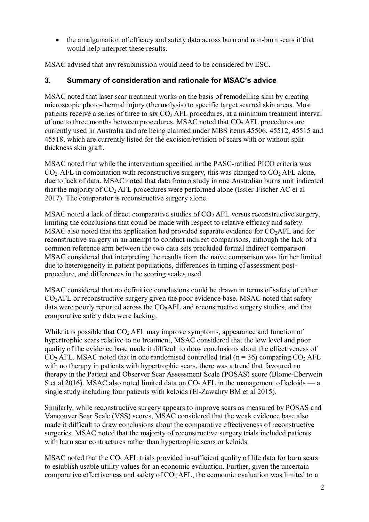the amalgamation of efficacy and safety data across burn and non-burn scars if that would help interpret these results.

MSAC advised that any resubmission would need to be considered by ESC.

# **3. Summary of consideration and rationale for MSAC's advice**

MSAC noted that laser scar treatment works on the basis of remodelling skin by creating microscopic photo-thermal injury (thermolysis) to specific target scarred skin areas. Most patients receive a series of three to six  $CO<sub>2</sub> AFL$  procedures, at a minimum treatment interval of one to three months between procedures. MSAC noted that  $CO<sub>2</sub> AFL$  procedures are currently used in Australia and are being claimed under MBS items 45506, 45512, 45515 and 45518, which are currently listed for the excision/revision of scars with or without split thickness skin graft.

MSAC noted that while the intervention specified in the PASC-ratified PICO criteria was  $CO<sub>2</sub>$  AFL in combination with reconstructive surgery, this was changed to  $CO<sub>2</sub>$  AFL alone, due to lack of data. MSAC noted that data from a study in one Australian burns unit indicated that the majority of  $CO<sub>2</sub>$  AFL procedures were performed alone (Issler-Fischer AC et al 2017). The comparator is reconstructive surgery alone.

MSAC noted a lack of direct comparative studies of  $CO<sub>2</sub> AFL$  versus reconstructive surgery, limiting the conclusions that could be made with respect to relative efficacy and safety. MSAC also noted that the application had provided separate evidence for  $CO<sub>2</sub>AFL$  and for reconstructive surgery in an attempt to conduct indirect comparisons, although the lack of a common reference arm between the two data sets precluded formal indirect comparison. MSAC considered that interpreting the results from the naïve comparison was further limited due to heterogeneity in patient populations, differences in timing of assessment postprocedure, and differences in the scoring scales used.

MSAC considered that no definitive conclusions could be drawn in terms of safety of either  $CO<sub>2</sub>AFL$  or reconstructive surgery given the poor evidence base. MSAC noted that safety data were poorly reported across the  $CO<sub>2</sub>AFL$  and reconstructive surgery studies, and that comparative safety data were lacking.

While it is possible that  $CO<sub>2</sub> AFL$  may improve symptoms, appearance and function of hypertrophic scars relative to no treatment, MSAC considered that the low level and poor quality of the evidence base made it difficult to draw conclusions about the effectiveness of  $CO<sub>2</sub> AFL$ . MSAC noted that in one randomised controlled trial (n = 36) comparing  $CO<sub>2</sub> AFL$ with no therapy in patients with hypertrophic scars, there was a trend that favoured no therapy in the Patient and Observer Scar Assessment Scale (POSAS) score (Blome-Eberwein S et al 2016). MSAC also noted limited data on  $CO<sub>2</sub> AFL$  in the management of keloids — a single study including four patients with keloids (El-Zawahry BM et al 2015).

Similarly, while reconstructive surgery appears to improve scars as measured by POSAS and Vancouver Scar Scale (VSS) scores, MSAC considered that the weak evidence base also made it difficult to draw conclusions about the comparative effectiveness of reconstructive surgeries. MSAC noted that the majority of reconstructive surgery trials included patients with burn scar contractures rather than hypertrophic scars or keloids.

MSAC noted that the  $CO<sub>2</sub> AFL$  trials provided insufficient quality of life data for burn scars to establish usable utility values for an economic evaluation. Further, given the uncertain comparative effectiveness and safety of  $CO<sub>2</sub> AFL$ , the economic evaluation was limited to a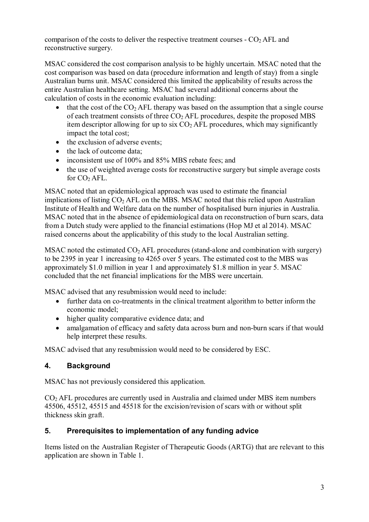comparison of the costs to deliver the respective treatment courses  $\sim$  CO<sub>2</sub> AFL and reconstructive surgery.

MSAC considered the cost comparison analysis to be highly uncertain. MSAC noted that the cost comparison was based on data (procedure information and length of stay) from a single Australian burns unit. MSAC considered this limited the applicability of results across the entire Australian healthcare setting. MSAC had several additional concerns about the calculation of costs in the economic evaluation including:

- $\bullet$  that the cost of the CO<sub>2</sub> AFL therapy was based on the assumption that a single course of each treatment consists of three  $CO<sub>2</sub> AFL$  procedures, despite the proposed MBS item descriptor allowing for up to six  $CO<sub>2</sub> AFL$  procedures, which may significantly impact the total cost;
- the exclusion of adverse events;
- the lack of outcome data;
- inconsistent use of 100% and 85% MBS rebate fees; and
- the use of weighted average costs for reconstructive surgery but simple average costs for  $CO<sub>2</sub> AFL$ .

MSAC noted that an epidemiological approach was used to estimate the financial implications of listing  $CO<sub>2</sub> AFL$  on the MBS. MSAC noted that this relied upon Australian Institute of Health and Welfare data on the number of hospitalised burn injuries in Australia. MSAC noted that in the absence of epidemiological data on reconstruction of burn scars, data from a Dutch study were applied to the financial estimations (Hop MJ et al 2014). MSAC raised concerns about the applicability of this study to the local Australian setting.

MSAC noted the estimated  $CO<sub>2</sub> AFL$  procedures (stand-alone and combination with surgery) to be 2395 in year 1 increasing to 4265 over 5 years. The estimated cost to the MBS was approximately \$1.0 million in year 1 and approximately \$1.8 million in year 5. MSAC concluded that the net financial implications for the MBS were uncertain.

MSAC advised that any resubmission would need to include:

- further data on co-treatments in the clinical treatment algorithm to better inform the economic model;
- higher quality comparative evidence data; and
- amalgamation of efficacy and safety data across burn and non-burn scars if that would help interpret these results.

MSAC advised that any resubmission would need to be considered by ESC.

#### **4. Background**

MSAC has not previously considered this application.

CO2 AFL procedures are currently used in Australia and claimed under MBS item numbers 45506, 45512, 45515 and 45518 for the excision/revision of scars with or without split thickness skin graft.

#### **5. Prerequisites to implementation of any funding advice**

Items listed on the Australian Register of Therapeutic Goods (ARTG) that are relevant to this application are shown in Table 1.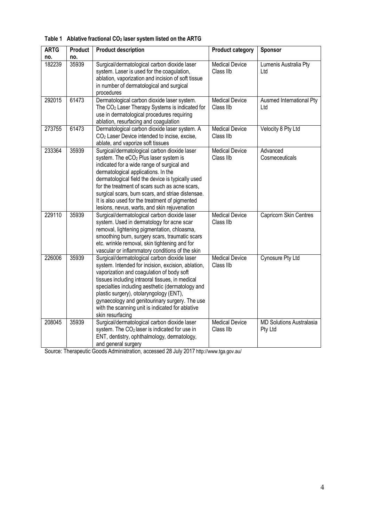| <b>ARTG</b> | Product | <b>Product description</b>                                                                                                                                                                                                                                                                                                                                                                                                                           | <b>Product category</b>            | Sponsor                                    |
|-------------|---------|------------------------------------------------------------------------------------------------------------------------------------------------------------------------------------------------------------------------------------------------------------------------------------------------------------------------------------------------------------------------------------------------------------------------------------------------------|------------------------------------|--------------------------------------------|
| no.         | no.     |                                                                                                                                                                                                                                                                                                                                                                                                                                                      |                                    |                                            |
| 182239      | 35939   | Surgical/dermatological carbon dioxide laser<br>system. Laser is used for the coagulation,<br>ablation, vaporization and incision of soft tissue<br>in number of dermatological and surgical<br>procedures                                                                                                                                                                                                                                           | <b>Medical Device</b><br>Class IIb | Lumenis Australia Pty<br>Ltd               |
| 292015      | 61473   | Dermatological carbon dioxide laser system.<br>The CO <sub>2</sub> Laser Therapy Systems is indicated for<br>use in dermatological procedures requiring<br>ablation, resurfacing and coagulation                                                                                                                                                                                                                                                     | <b>Medical Device</b><br>Class IIb | Ausmed International Pty<br>Ltd            |
| 273755      | 61473   | Dermatological carbon dioxide laser system. A<br>CO <sub>2</sub> Laser Device intended to incise, excise,<br>ablate, and vaporize soft tissues                                                                                                                                                                                                                                                                                                       | <b>Medical Device</b><br>Class IIb | Velocity 8 Pty Ltd                         |
| 233364      | 35939   | Surgical/dermatological carbon dioxide laser<br>system. The eCO <sub>2</sub> Plus laser system is<br>indicated for a wide range of surgical and<br>dermatological applications. In the<br>dermatological field the device is typically used<br>for the treatment of scars such as acne scars,<br>surgical scars, burn scars, and striae distensae.<br>It is also used for the treatment of pigmented<br>lesions, nevus, warts, and skin rejuvenation | <b>Medical Device</b><br>Class IIb | Advanced<br>Cosmeceuticals                 |
| 229110      | 35939   | Surgical/dermatological carbon dioxide laser<br>system. Used in dermatology for acne scar<br>removal, lightening pigmentation, chloasma,<br>smoothing burn, surgery scars, traumatic scars<br>etc. wrinkle removal, skin tightening and for<br>vascular or inflammatory conditions of the skin                                                                                                                                                       | <b>Medical Device</b><br>Class IIb | Capricorn Skin Centres                     |
| 226006      | 35939   | Surgical/dermatological carbon dioxide laser<br>system. Intended for incision, excision, ablation,<br>vaporization and coagulation of body soft<br>tissues including intraoral tissues, in medical<br>specialties including aesthetic (dermatology and<br>plastic surgery), otolaryngology (ENT),<br>gynaecology and genitourinary surgery. The use<br>with the scanning unit is indicated for ablative<br>skin resurfacing                          | <b>Medical Device</b><br>Class IIb | Cynosure Pty Ltd                           |
| 208045      | 35939   | Surgical/dermatological carbon dioxide laser<br>system. The CO <sub>2</sub> laser is indicated for use in<br>ENT, dentistry, ophthalmology, dermatology,<br>and general surgery                                                                                                                                                                                                                                                                      | <b>Medical Device</b><br>Class IIb | <b>MD Solutions Australasia</b><br>Pty Ltd |

#### **Table 1 Ablative fractional CO2 laser system listed on the ARTG**

Source: Therapeutic Goods Administration, accessed 28 July 2017 http://www.tga.gov.au/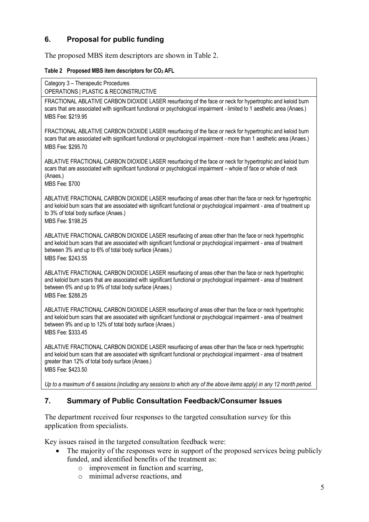# **6. Proposal for public funding**

The proposed MBS item descriptors are shown in Table 2.

#### **Table 2 Proposed MBS item descriptors for CO2 AFL**

Category 3 – Therapeutic Procedures

OPERATIONS | PLASTIC & RECONSTRUCTIVE

FRACTIONAL ABLATIVE CARBON DIOXIDE LASER resurfacing of the face or neck for hypertrophic and keloid burn scars that are associated with significant functional or psychological impairment - limited to 1 aesthetic area (Anaes.) MBS Fee: \$219.95

FRACTIONAL ABLATIVE CARBON DIOXIDE LASER resurfacing of the face or neck for hypertrophic and keloid burn scars that are associated with significant functional or psychological impairment - more than 1 aesthetic area (Anaes.) MBS Fee: \$295.70

ABLATIVE FRACTIONAL CARBON DIOXIDE LASER resurfacing of the face or neck for hypertrophic and keloid burn scars that are associated with significant functional or psychological impairment – whole of face or whole of neck (Anaes.)

MBS Fee: \$700

ABLATIVE FRACTIONAL CARBON DIOXIDE LASER resurfacing of areas other than the face or neck for hypertrophic and keloid burn scars that are associated with significant functional or psychological impairment - area of treatment up to 3% of total body surface (Anaes.)

MBS Fee: \$198.25

ABLATIVE FRACTIONAL CARBON DIOXIDE LASER resurfacing of areas other than the face or neck hypertrophic and keloid burn scars that are associated with significant functional or psychological impairment - area of treatment between 3% and up to 6% of total body surface (Anaes.) MBS Fee: \$243.55

ABLATIVE FRACTIONAL CARBON DIOXIDE LASER resurfacing of areas other than the face or neck hypertrophic and keloid burn scars that are associated with significant functional or psychological impairment - area of treatment between 6% and up to 9% of total body surface (Anaes.) MBS Fee: \$288.25

ABLATIVE FRACTIONAL CARBON DIOXIDE LASER resurfacing of areas other than the face or neck hypertrophic and keloid burn scars that are associated with significant functional or psychological impairment - area of treatment between 9% and up to 12% of total body surface (Anaes.) MBS Fee: \$333.45

ABLATIVE FRACTIONAL CARBON DIOXIDE LASER resurfacing of areas other than the face or neck hypertrophic and keloid burn scars that are associated with significant functional or psychological impairment - area of treatment greater than 12% of total body surface (Anaes.) MBS Fee: \$423.50

*Up to a maximum of 6 sessions (including any sessions to which any of the above items apply) in any 12 month period*.

### **7. Summary of Public Consultation Feedback/Consumer Issues**

The department received four responses to the targeted consultation survey for this application from specialists.

Key issues raised in the targeted consultation feedback were:

- The majority of the responses were in support of the proposed services being publicly funded, and identified benefits of the treatment as:
	- o improvement in function and scarring,
	- o minimal adverse reactions, and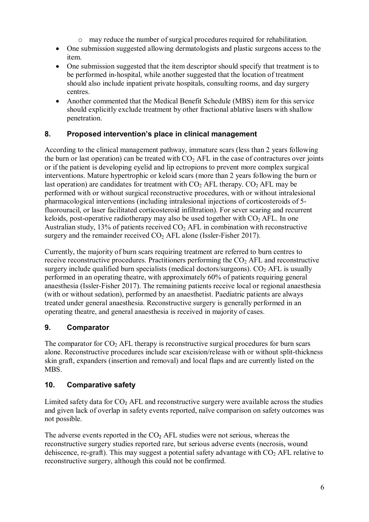- o may reduce the number of surgical procedures required for rehabilitation.
- One submission suggested allowing dermatologists and plastic surgeons access to the item.
- One submission suggested that the item descriptor should specify that treatment is to be performed in-hospital, while another suggested that the location of treatment should also include inpatient private hospitals, consulting rooms, and day surgery centres.
- Another commented that the Medical Benefit Schedule (MBS) item for this service should explicitly exclude treatment by other fractional ablative lasers with shallow penetration.

## **8. Proposed intervention's place in clinical management**

According to the clinical management pathway, immature scars (less than 2 years following the burn or last operation) can be treated with  $CO<sub>2</sub>$  AFL in the case of contractures over joints or if the patient is developing eyelid and lip ectropions to prevent more complex surgical interventions. Mature hypertrophic or keloid scars (more than 2 years following the burn or last operation) are candidates for treatment with  $CO<sub>2</sub>$  AFL therapy.  $CO<sub>2</sub>$  AFL may be performed with or without surgical reconstructive procedures, with or without intralesional pharmacological interventions (including intralesional injections of corticosteroids of 5 fluorouracil, or laser facilitated corticosteroid infiltration). For sever scaring and recurrent keloids, post-operative radiotherapy may also be used together with  $CO<sub>2</sub> AFL$ . In one Australian study, 13% of patients received  $CO<sub>2</sub>$  AFL in combination with reconstructive surgery and the remainder received  $CO<sub>2</sub>$  AFL alone (Issler-Fisher 2017).

Currently, the majority of burn scars requiring treatment are referred to burn centres to receive reconstructive procedures. Practitioners performing the  $CO<sub>2</sub> AFL$  and reconstructive surgery include qualified burn specialists (medical doctors/surgeons).  $CO<sub>2</sub> AFL$  is usually performed in an operating theatre, with approximately 60% of patients requiring general anaesthesia (Issler-Fisher 2017). The remaining patients receive local or regional anaesthesia (with or without sedation), performed by an anaesthetist. Paediatric patients are always treated under general anaesthesia. Reconstructive surgery is generally performed in an operating theatre, and general anaesthesia is received in majority of cases.

# **9. Comparator**

The comparator for  $CO<sub>2</sub>$  AFL therapy is reconstructive surgical procedures for burn scars alone. Reconstructive procedures include scar excision/release with or without split-thickness skin graft, expanders (insertion and removal) and local flaps and are currently listed on the MBS.

### **10. Comparative safety**

Limited safety data for  $CO<sub>2</sub>$  AFL and reconstructive surgery were available across the studies and given lack of overlap in safety events reported, naïve comparison on safety outcomes was not possible.

The adverse events reported in the  $CO<sub>2</sub>$  AFL studies were not serious, whereas the reconstructive surgery studies reported rare, but serious adverse events (necrosis, wound dehiscence, re-graft). This may suggest a potential safety advantage with  $CO<sub>2</sub>$  AFL relative to reconstructive surgery, although this could not be confirmed.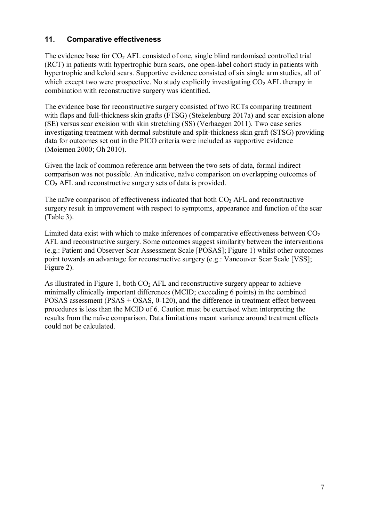### **11. Comparative effectiveness**

The evidence base for CO<sub>2</sub> AFL consisted of one, single blind randomised controlled trial (RCT) in patients with hypertrophic burn scars, one open-label cohort study in patients with hypertrophic and keloid scars. Supportive evidence consisted of six single arm studies, all of which except two were prospective. No study explicitly investigating  $CO<sub>2</sub>$  AFL therapy in combination with reconstructive surgery was identified.

The evidence base for reconstructive surgery consisted of two RCTs comparing treatment with flaps and full-thickness skin grafts (FTSG) (Stekelenburg 2017a) and scar excision alone (SE) versus scar excision with skin stretching (SS) (Verhaegen 2011). Two case series investigating treatment with dermal substitute and split-thickness skin graft (STSG) providing data for outcomes set out in the PICO criteria were included as supportive evidence (Moiemen 2000; Oh 2010).

Given the lack of common reference arm between the two sets of data, formal indirect comparison was not possible. An indicative, naïve comparison on overlapping outcomes of CO<sub>2</sub> AFL and reconstructive surgery sets of data is provided.

The naïve comparison of effectiveness indicated that both  $CO<sub>2</sub>$  AFL and reconstructive surgery result in improvement with respect to symptoms, appearance and function of the scar (Table 3).

Limited data exist with which to make inferences of comparative effectiveness between  $CO<sub>2</sub>$ AFL and reconstructive surgery. Some outcomes suggest similarity between the interventions (e.g.: Patient and Observer Scar Assessment Scale [POSAS]; Figure 1) whilst other outcomes point towards an advantage for reconstructive surgery (e.g.: Vancouver Scar Scale [VSS]; Figure 2).

As illustrated in Figure 1, both  $CO<sub>2</sub>$  AFL and reconstructive surgery appear to achieve minimally clinically important differences (MCID; exceeding 6 points) in the combined POSAS assessment (PSAS + OSAS, 0-120), and the difference in treatment effect between procedures is less than the MCID of 6. Caution must be exercised when interpreting the results from the naïve comparison. Data limitations meant variance around treatment effects could not be calculated.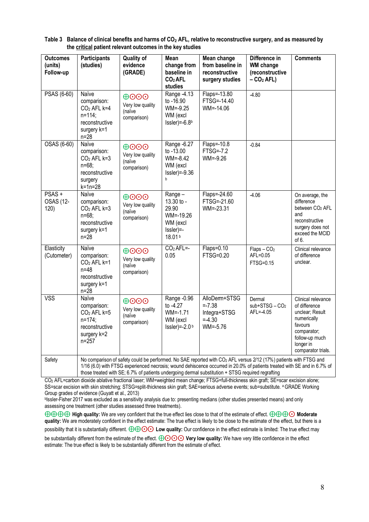| <b>Outcomes</b><br>(units)<br>Follow-up | <b>Participants</b><br>(studies)                                                                                                                                                                                                                                                                                                                               | <b>Quality of</b><br>evidence<br>(GRADE)                                       | Mean<br>change from<br>baseline in<br><b>CO2AFL</b><br>studies                      | Mean change<br>from baseline in<br>reconstructive<br>surgery studies | Difference in<br><b>WM</b> change<br>(reconstructive<br>$- CO2 AFL$ ) | <b>Comments</b>                                                                                                                                      |
|-----------------------------------------|----------------------------------------------------------------------------------------------------------------------------------------------------------------------------------------------------------------------------------------------------------------------------------------------------------------------------------------------------------------|--------------------------------------------------------------------------------|-------------------------------------------------------------------------------------|----------------------------------------------------------------------|-----------------------------------------------------------------------|------------------------------------------------------------------------------------------------------------------------------------------------------|
| PSAS (6-60)                             | Naïve<br>comparison:<br>CO <sub>2</sub> AFL k=4<br>$n=114$ ;<br>reconstructive<br>surgery k=1<br>$n = 28$                                                                                                                                                                                                                                                      | $\Theta$ OOO<br>Very low quality<br>(naïve<br>comparison)                      | Range - 4.13<br>to -16.90<br>$WM = -9.25$<br>WM (excl<br>$Issler$ ) = -6.8b         | Flaps=-13.80<br>FTSG=-14.40<br>$WM = -14.06$                         | $-4.80$                                                               |                                                                                                                                                      |
| OSAS (6-60)                             | Naïve<br>comparison:<br>$CO2$ AFL k=3<br>$n = 68$<br>reconstructive<br>surgery<br>$k = 1n = 28$                                                                                                                                                                                                                                                                | $\oplus$ OO<br>Very low quality<br>(naïve<br>comparison)                       | Range -6.27<br>to -13.00<br>$WM = -8.42$<br>WM (excl<br>$Issler$ =-9.36<br>b        | Flaps=-10.8<br><b>FTSG=-7.2</b><br>$WM = -9.26$                      | $-0.84$                                                               |                                                                                                                                                      |
| PSAS +<br>OSAS (12-<br>120)             | Naïve<br>comparison:<br>$CO2$ AFL k=3<br>$n = 68$<br>reconstructive<br>surgery k=1<br>$n = 28$                                                                                                                                                                                                                                                                 | $\bigoplus$ $\bigodot$ $\bigodot$<br>Very low quality<br>(naïve<br>comparison) | Range-<br>$13.30$ to -<br>29.90<br>$WM = -19.26$<br>WM (excl<br>Issler)=-<br>18.01b | Flaps=-24.60<br>FTSG=-21.60<br>$WM = -23.31$                         | $-4.06$                                                               | On average, the<br>difference<br>between CO <sub>2</sub> AFL<br>and<br>reconstructive<br>surgery does not<br>exceed the MCID<br>of $6.$              |
| Elasticity<br>(Cutometer)               | Naïve<br>comparison:<br>$CO2$ AFL k=1<br>$n = 48$<br>reconstructive<br>surgery k=1<br>$n=28$                                                                                                                                                                                                                                                                   | $\bigoplus$ $\bigodot$ $\bigodot$<br>Very low quality<br>(naïve<br>comparison) | $CO2$ AFL=-<br>0.05                                                                 | Flaps=0.10<br>FTSG=0.20                                              | $Flaps - CO2$<br>AFL=0.05<br>FTSG=0.15                                | Clinical relevance<br>of difference<br>unclear.                                                                                                      |
| <b>VSS</b>                              | Naïve<br>comparison:<br>$CO2$ AFL k=5<br>$n=174$ ;<br>reconstructive<br>surgery k=2<br>$n = 257$                                                                                                                                                                                                                                                               | $\oplus$ $\odot$ $\odot$<br>Very low quality<br>(naïve<br>comparison)          | Range -0.96<br>to -4.27<br>$WM = -1.71$<br>WM (excl<br>Issler) = $-2.0b$            | AlloDerm+STSG<br>$= 7.38$<br>Integra+STSG<br>$=.30$<br>$WM = -5.76$  | Dermal<br>$sub+STSG - CO2$<br>AFL=-4.05                               | Clinical relevance<br>of difference<br>unclear; Result<br>numerically<br>favours<br>comparator;<br>follow-up much<br>longer in<br>comparator trials. |
| Safety                                  | No comparison of safety could be performed. No SAE reported with CO <sub>2</sub> AFL versus 2/12 (17%) patients with FTSG and<br>1/16 (6.0) with FTSG experienced necrosis; wound dehiscence occurred in 20.0% of patients treated with SE and in 6.7% of<br>those treated with SE; 6.7% of patients undergoing dermal substitution + STSG required regrafting |                                                                                |                                                                                     |                                                                      |                                                                       |                                                                                                                                                      |

**Table 3 Balance of clinical benefits and harms of CO2 AFL, relative to reconstructive surgery, and as measured by the critical patient relevant outcomes in the key studies** 

CO2 AFL=carbon dioxide ablative fractional laser; WM=weighted mean change; FTSG=full-thickness skin graft; SE=scar excision alone; SS=scar excision with skin stretching; STSG=split-thickness skin graft; SAE=serious adverse events; sub=substitute. <sup>a</sup> GRADE Working Group grades of evidence (Guyatt et al., 2013)

bIssler-Fisher 2017 was excluded as a sensitivity analysis due to: presenting medians (other studies presented means) and only assessing one treatment (other studies assessed three treatments).

⨁⨁⨁⨁ **High quality:** We are very confident that the true effect lies close to that of the estimate of effect. ⨁⨁⨁⨀ **Moderate quality:** We are moderately confident in the effect estimate: The true effect is likely to be close to the estimate of the effect, but there is a possibility that it is substantially different. ⨁⨁⨀⨀ **Low quality:** Our confidence in the effect estimate is limited: The true effect may be substantially different from the estimate of the effect.  $\bigoplus$ **⊙⊙** Very low quality: We have very little confidence in the effect estimate: The true effect is likely to be substantially different from the estimate of effect.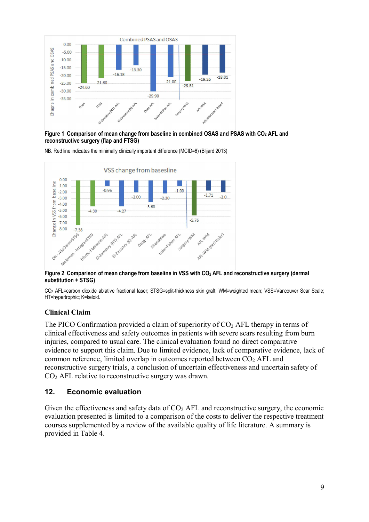

Figure 1 Comparison of mean change from baseline in combined OSAS and PSAS with CO<sub>2</sub> AFL and **reconstructive surgery (flap and FTSG)** 

NB. Red line indicates the minimally clinically important difference (MCID=6) (Blijard 2013)



Figure 2 Comparison of mean change from baseline in VSS with CO<sub>2</sub> AFL and reconstructive surgery (dermal **substitution + STSG)** 

CO2 AFL=carbon dioxide ablative fractional laser; STSG=split-thickness skin graft; WM=weighted mean; VSS=Vancouver Scar Scale; HT=hypertrophic; K=keloid.

#### **Clinical Claim**

The PICO Confirmation provided a claim of superiority of  $CO<sub>2</sub>$  AFL therapy in terms of clinical effectiveness and safety outcomes in patients with severe scars resulting from burn injuries, compared to usual care. The clinical evaluation found no direct comparative evidence to support this claim. Due to limited evidence, lack of comparative evidence, lack of common reference, limited overlap in outcomes reported between CO2 AFL and reconstructive surgery trials, a conclusion of uncertain effectiveness and uncertain safety of CO2 AFL relative to reconstructive surgery was drawn.

#### **12. Economic evaluation**

Given the effectiveness and safety data of  $CO<sub>2</sub>$  AFL and reconstructive surgery, the economic evaluation presented is limited to a comparison of the costs to deliver the respective treatment courses supplemented by a review of the available quality of life literature. A summary is provided in Table 4.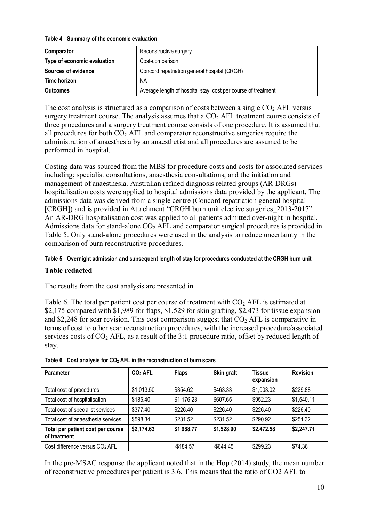#### **Table 4 Summary of the economic evaluation**

| Comparator                  | Reconstructive surgery                                        |
|-----------------------------|---------------------------------------------------------------|
| Type of economic evaluation | Cost-comparison                                               |
| <b>Sources of evidence</b>  | Concord repatriation general hospital (CRGH)                  |
| Time horizon                | <b>NA</b>                                                     |
| <b>Outcomes</b>             | Average length of hospital stay, cost per course of treatment |

The cost analysis is structured as a comparison of costs between a single  $CO<sub>2</sub>$  AFL versus surgery treatment course. The analysis assumes that a  $CO<sub>2</sub>$  AFL treatment course consists of three procedures and a surgery treatment course consists of one procedure. It is assumed that all procedures for both  $CO<sub>2</sub>$  AFL and comparator reconstructive surgeries require the administration of anaesthesia by an anaesthetist and all procedures are assumed to be performed in hospital.

Costing data was sourced from the MBS for procedure costs and costs for associated services including; specialist consultations, anaesthesia consultations, and the initiation and management of anaesthesia. Australian refined diagnosis related groups (AR-DRGs) hospitalisation costs were applied to hospital admissions data provided by the applicant. The admissions data was derived from a single centre (Concord repatriation general hospital [CRGH]) and is provided in Attachment "CRGH burn unit elective surgeries\_2013-2017". An AR-DRG hospitalisation cost was applied to all patients admitted over-night in hospital. Admissions data for stand-alone  $CO<sub>2</sub>$  AFL and comparator surgical procedures is provided in Table 5. Only stand-alone procedures were used in the analysis to reduce uncertainty in the comparison of burn reconstructive procedures.

#### **Table 5 Overnight admission and subsequent length of stay for procedures conducted at the CRGH burn unit**

#### **Table redacted**

The results from the cost analysis are presented in

Table 6. The total per patient cost per course of treatment with  $CO<sub>2</sub> AFL$  is estimated at \$2,175 compared with \$1,989 for flaps, \$1,529 for skin grafting, \$2,473 for tissue expansion and \$2,248 for scar revision. This cost comparison suggest that  $CO<sub>2</sub>$  AFL is comparative in terms of cost to other scar reconstruction procedures, with the increased procedure/associated services costs of  $CO<sub>2</sub>$  AFL, as a result of the 3:1 procedure ratio, offset by reduced length of stay.

| <b>Parameter</b>                                  | $CO2$ AFL  | <b>Flaps</b> | Skin graft   | <b>Tissue</b><br>expansion | <b>Revision</b> |
|---------------------------------------------------|------------|--------------|--------------|----------------------------|-----------------|
| Total cost of procedures                          | \$1,013.50 | \$354.62     | \$463.33     | \$1,003.02                 | \$229.88        |
| Total cost of hospitalisation                     | \$185.40   | \$1,176.23   | \$607.65     | \$952.23                   | \$1,540.11      |
| Total cost of specialist services                 | \$377.40   | \$226.40     | \$226.40     | \$226.40                   | \$226.40        |
| Total cost of anaesthesia services                | \$598.34   | \$231.52     | \$231.52     | \$290.92                   | \$251.32        |
| Total per patient cost per course<br>of treatment | \$2,174.63 | \$1,988.77   | \$1,528.90   | \$2,472.58                 | \$2,247.71      |
| Cost difference versus CO <sub>2</sub> AFL        |            | $-$184.57$   | $-$ \$644.45 | \$299.23                   | \$74.36         |

|  |  | Table 6 Cost analysis for $CO2$ AFL in the reconstruction of burn scars |  |
|--|--|-------------------------------------------------------------------------|--|
|  |  |                                                                         |  |

In the pre-MSAC response the applicant noted that in the Hop (2014) study, the mean number of reconstructive procedures per patient is 3.6. This means that the ratio of CO2 AFL to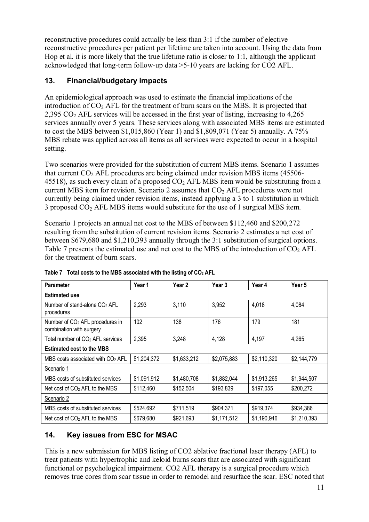reconstructive procedures could actually be less than 3:1 if the number of elective reconstructive procedures per patient per lifetime are taken into account. Using the data from Hop et al. it is more likely that the true lifetime ratio is closer to 1:1, although the applicant acknowledged that long-term follow-up data >5-10 years are lacking for CO2 AFL.

## **13. Financial/budgetary impacts**

An epidemiological approach was used to estimate the financial implications of the introduction of  $CO<sub>2</sub>$  AFL for the treatment of burn scars on the MBS. It is projected that  $2,395$  CO<sub>2</sub> AFL services will be accessed in the first year of listing, increasing to  $4,265$ services annually over 5 years. These services along with associated MBS items are estimated to cost the MBS between \$1,015,860 (Year 1) and \$1,809,071 (Year 5) annually. A 75% MBS rebate was applied across all items as all services were expected to occur in a hospital setting.

Two scenarios were provided for the substitution of current MBS items. Scenario 1 assumes that current  $CO<sub>2</sub>$  AFL procedures are being claimed under revision MBS items (45506-45518), as such every claim of a proposed  $CO<sub>2</sub>$  AFL MBS item would be substituting from a current MBS item for revision. Scenario 2 assumes that  $CO<sub>2</sub>$  AFL procedures were not currently being claimed under revision items, instead applying a 3 to 1 substitution in which 3 proposed  $CO<sub>2</sub>$  AFL MBS items would substitute for the use of 1 surgical MBS item.

Scenario 1 projects an annual net cost to the MBS of between \$112,460 and \$200,272 resulting from the substitution of current revision items. Scenario 2 estimates a net cost of between \$679,680 and \$1,210,393 annually through the 3:1 substitution of surgical options. Table 7 presents the estimated use and net cost to the MBS of the introduction of  $CO<sub>2</sub> AFL$ for the treatment of burn scars.

| <b>Parameter</b>                                                        | Year 1      | Year 2      | Year 3      | Year 4      | Year 5      |
|-------------------------------------------------------------------------|-------------|-------------|-------------|-------------|-------------|
| <b>Estimated use</b>                                                    |             |             |             |             |             |
| Number of stand-alone CO <sub>2</sub> AFL<br>procedures                 | 2,293       | 3,110       | 3,952       | 4,018       | 4,084       |
| Number of CO <sub>2</sub> AFL procedures in<br>combination with surgery | 102         | 138         | 176         | 179         | 181         |
| Total number of CO <sub>2</sub> AFL services                            | 2,395       | 3,248       | 4,128       | 4,197       | 4,265       |
| <b>Estimated cost to the MBS</b>                                        |             |             |             |             |             |
| MBS costs associated with $CO2$ AFL                                     | \$1,204,372 | \$1,633,212 | \$2,075,883 | \$2,110,320 | \$2,144,779 |
| Scenario 1                                                              |             |             |             |             |             |
| MBS costs of substituted services                                       | \$1,091,912 | \$1,480,708 | \$1,882,044 | \$1,913,265 | \$1,944,507 |
| Net cost of $CO2$ AFL to the MBS                                        | \$112,460   | \$152,504   | \$193,839   | \$197,055   | \$200,272   |
| Scenario 2                                                              |             |             |             |             |             |
| MBS costs of substituted services                                       | \$524,692   | \$711,519   | \$904,371   | \$919,374   | \$934,386   |
| Net cost of $CO2$ AFL to the MBS                                        | \$679,680   | \$921,693   | \$1,171,512 | \$1,190,946 | \$1,210,393 |

**Table 7 Total costs to the MBS associated with the listing of CO2 AFL** 

# **14. Key issues from ESC for MSAC**

This is a new submission for MBS listing of CO2 ablative fractional laser therapy (AFL) to treat patients with hypertrophic and keloid burns scars that are associated with significant functional or psychological impairment. CO2 AFL therapy is a surgical procedure which removes true cores from scar tissue in order to remodel and resurface the scar. ESC noted that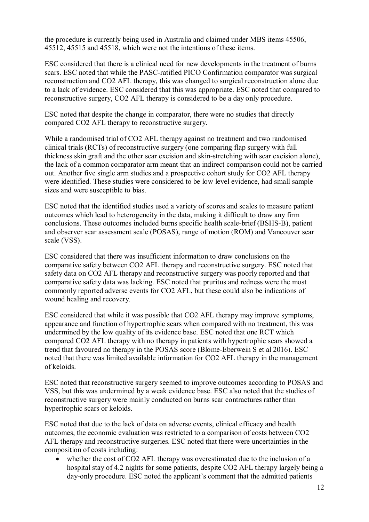the procedure is currently being used in Australia and claimed under MBS items 45506, 45512, 45515 and 45518, which were not the intentions of these items.

ESC considered that there is a clinical need for new developments in the treatment of burns scars. ESC noted that while the PASC-ratified PICO Confirmation comparator was surgical reconstruction and CO2 AFL therapy, this was changed to surgical reconstruction alone due to a lack of evidence. ESC considered that this was appropriate. ESC noted that compared to reconstructive surgery, CO2 AFL therapy is considered to be a day only procedure.

ESC noted that despite the change in comparator, there were no studies that directly compared CO2 AFL therapy to reconstructive surgery.

While a randomised trial of CO2 AFL therapy against no treatment and two randomised clinical trials (RCTs) of reconstructive surgery (one comparing flap surgery with full thickness skin graft and the other scar excision and skin-stretching with scar excision alone), the lack of a common comparator arm meant that an indirect comparison could not be carried out. Another five single arm studies and a prospective cohort study for CO2 AFL therapy were identified. These studies were considered to be low level evidence, had small sample sizes and were susceptible to bias.

ESC noted that the identified studies used a variety of scores and scales to measure patient outcomes which lead to heterogeneity in the data, making it difficult to draw any firm conclusions. These outcomes included burns specific health scale-brief (BSHS-B), patient and observer scar assessment scale (POSAS), range of motion (ROM) and Vancouver scar scale (VSS).

ESC considered that there was insufficient information to draw conclusions on the comparative safety between CO2 AFL therapy and reconstructive surgery. ESC noted that safety data on CO2 AFL therapy and reconstructive surgery was poorly reported and that comparative safety data was lacking. ESC noted that pruritus and redness were the most commonly reported adverse events for CO2 AFL, but these could also be indications of wound healing and recovery.

ESC considered that while it was possible that CO2 AFL therapy may improve symptoms, appearance and function of hypertrophic scars when compared with no treatment, this was undermined by the low quality of its evidence base. ESC noted that one RCT which compared CO2 AFL therapy with no therapy in patients with hypertrophic scars showed a trend that favoured no therapy in the POSAS score (Blome-Eberwein S et al 2016). ESC noted that there was limited available information for CO2 AFL therapy in the management of keloids.

ESC noted that reconstructive surgery seemed to improve outcomes according to POSAS and VSS, but this was undermined by a weak evidence base. ESC also noted that the studies of reconstructive surgery were mainly conducted on burns scar contractures rather than hypertrophic scars or keloids.

ESC noted that due to the lack of data on adverse events, clinical efficacy and health outcomes, the economic evaluation was restricted to a comparison of costs between CO2 AFL therapy and reconstructive surgeries. ESC noted that there were uncertainties in the composition of costs including:

• whether the cost of CO2 AFL therapy was overestimated due to the inclusion of a hospital stay of 4.2 nights for some patients, despite CO2 AFL therapy largely being a day-only procedure. ESC noted the applicant's comment that the admitted patients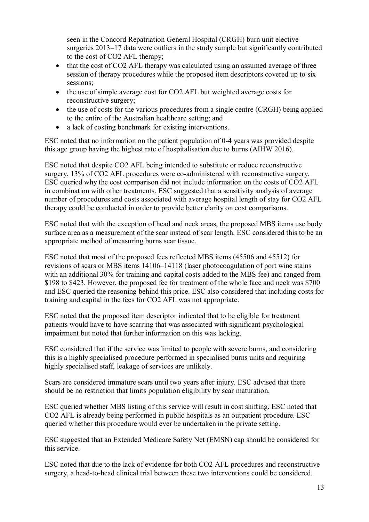seen in the Concord Repatriation General Hospital (CRGH) burn unit elective surgeries 2013**–**17 data were outliers in the study sample but significantly contributed to the cost of CO2 AFL therapy;

- that the cost of CO2 AFL therapy was calculated using an assumed average of three session of therapy procedures while the proposed item descriptors covered up to six sessions;
- the use of simple average cost for CO2 AFL but weighted average costs for reconstructive surgery;
- the use of costs for the various procedures from a single centre (CRGH) being applied to the entire of the Australian healthcare setting; and
- a lack of costing benchmark for existing interventions.

ESC noted that no information on the patient population of 0-4 years was provided despite this age group having the highest rate of hospitalisation due to burns (AIHW 2016).

ESC noted that despite CO2 AFL being intended to substitute or reduce reconstructive surgery, 13% of CO2 AFL procedures were co-administered with reconstructive surgery. ESC queried why the cost comparison did not include information on the costs of CO2 AFL in combination with other treatments. ESC suggested that a sensitivity analysis of average number of procedures and costs associated with average hospital length of stay for CO2 AFL therapy could be conducted in order to provide better clarity on cost comparisons.

ESC noted that with the exception of head and neck areas, the proposed MBS items use body surface area as a measurement of the scar instead of scar length. ESC considered this to be an appropriate method of measuring burns scar tissue.

ESC noted that most of the proposed fees reflected MBS items (45506 and 45512) for revisions of scars or MBS items 14106–14118 (laser photocoagulation of port wine stains with an additional 30% for training and capital costs added to the MBS fee) and ranged from \$198 to \$423. However, the proposed fee for treatment of the whole face and neck was \$700 and ESC queried the reasoning behind this price. ESC also considered that including costs for training and capital in the fees for CO2 AFL was not appropriate.

ESC noted that the proposed item descriptor indicated that to be eligible for treatment patients would have to have scarring that was associated with significant psychological impairment but noted that further information on this was lacking.

ESC considered that if the service was limited to people with severe burns, and considering this is a highly specialised procedure performed in specialised burns units and requiring highly specialised staff, leakage of services are unlikely.

Scars are considered immature scars until two years after injury. ESC advised that there should be no restriction that limits population eligibility by scar maturation.

ESC queried whether MBS listing of this service will result in cost shifting. ESC noted that CO2 AFL is already being performed in public hospitals as an outpatient procedure. ESC queried whether this procedure would ever be undertaken in the private setting.

ESC suggested that an Extended Medicare Safety Net (EMSN) cap should be considered for this service.

ESC noted that due to the lack of evidence for both CO2 AFL procedures and reconstructive surgery, a head-to-head clinical trial between these two interventions could be considered.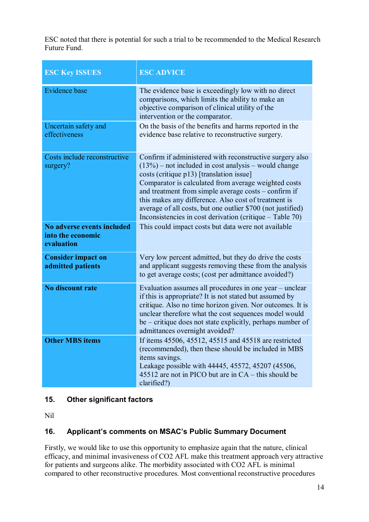ESC noted that there is potential for such a trial to be recommended to the Medical Research Future Fund.

| <b>ESC Key ISSUES</b>                                                  | <b>ESC ADVICE</b>                                                                                                                                                                                                                                                                                                                                                                                                                                                                                                        |
|------------------------------------------------------------------------|--------------------------------------------------------------------------------------------------------------------------------------------------------------------------------------------------------------------------------------------------------------------------------------------------------------------------------------------------------------------------------------------------------------------------------------------------------------------------------------------------------------------------|
| <b>Evidence</b> base                                                   | The evidence base is exceedingly low with no direct<br>comparisons, which limits the ability to make an<br>objective comparison of clinical utility of the<br>intervention or the comparator.                                                                                                                                                                                                                                                                                                                            |
| Uncertain safety and<br>effectiveness                                  | On the basis of the benefits and harms reported in the<br>evidence base relative to reconstructive surgery.                                                                                                                                                                                                                                                                                                                                                                                                              |
| Costs include reconstructive<br>surgery?<br>No adverse events included | Confirm if administered with reconstructive surgery also<br>$(13%)$ – not included in cost analysis – would change<br>costs (critique p13) [translation issue]<br>Comparator is calculated from average weighted costs<br>and treatment from simple average costs - confirm if<br>this makes any difference. Also cost of treatment is<br>average of all costs, but one outlier \$700 (not justified)<br>Inconsistencies in cost derivation (critique – Table 70)<br>This could impact costs but data were not available |
| into the economic<br>evaluation                                        |                                                                                                                                                                                                                                                                                                                                                                                                                                                                                                                          |
| <b>Consider impact on</b><br>admitted patients                         | Very low percent admitted, but they do drive the costs<br>and applicant suggests removing these from the analysis<br>to get average costs; (cost per admittance avoided?)                                                                                                                                                                                                                                                                                                                                                |
| <b>No discount rate</b>                                                | Evaluation assumes all procedures in one year - unclear<br>if this is appropriate? It is not stated but assumed by<br>critique. Also no time horizon given. Nor outcomes. It is<br>unclear therefore what the cost sequences model would<br>be – critique does not state explicitly, perhaps number of<br>admittances overnight avoided?                                                                                                                                                                                 |
| <b>Other MBS items</b>                                                 | If items 45506, 45512, 45515 and 45518 are restricted<br>(recommended), then these should be included in MBS<br>items savings.<br>Leakage possible with 44445, 45572, 45207 (45506,<br>45512 are not in PICO but are in CA – this should be<br>clarified?)                                                                                                                                                                                                                                                               |

# **15. Other significant factors**

Nil

# **16. Applicant's comments on MSAC's Public Summary Document**

Firstly, we would like to use this opportunity to emphasize again that the nature, clinical efficacy, and minimal invasiveness of CO2 AFL make this treatment approach very attractive for patients and surgeons alike. The morbidity associated with CO2 AFL is minimal compared to other reconstructive procedures. Most conventional reconstructive procedures